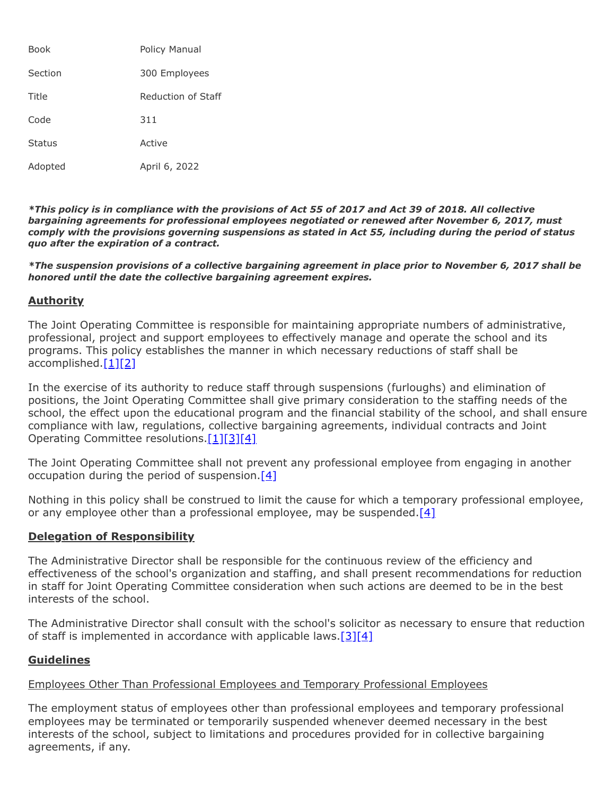| <b>Book</b>   | Policy Manual      |
|---------------|--------------------|
| Section       | 300 Employees      |
| Title         | Reduction of Staff |
| Code          | 311                |
| <b>Status</b> | Active             |
| Adopted       | April 6, 2022      |

*\*This policy is in compliance with the provisions of Act 55 of 2017 and Act 39 of 2018. All collective bargaining agreements for professional employees negotiated or renewed after November 6, 2017, must comply with the provisions governing suspensions as stated in Act 55, including during the period of status quo after the expiration of a contract.*

*\*The suspension provisions of a collective bargaining agreement in place prior to November 6, 2017 shall be honored until the date the collective bargaining agreement expires.*

### **Authority**

The Joint Operating Committee is responsible for maintaining appropriate numbers of administrative, professional, project and support employees to effectively manage and operate the school and its programs. This policy establishes the manner in which necessary reductions of staff shall be accomplished.[\[1\]](http://www.legis.state.pa.us/cfdocs/legis/LI/uconsCheck.cfm?txtType=HTM&yr=1949&sessInd=0&smthLwInd=0&act=14&chpt=18&sctn=50&subsctn=1)[\[2\]](http://pacodeandbulletin.gov/Display/pacode?file=/secure/pacode/data/022/chapter4/s4.4.html&d=reduce)

In the exercise of its authority to reduce staff through suspensions (furloughs) and elimination of positions, the Joint Operating Committee shall give primary consideration to the staffing needs of the school, the effect upon the educational program and the financial stability of the school, and shall ensure compliance with law, regulations, collective bargaining agreements, individual contracts and Joint Operating Committee resolutions.[\[1\]](http://www.legis.state.pa.us/cfdocs/legis/LI/uconsCheck.cfm?txtType=HTM&yr=1949&sessInd=0&smthLwInd=0&act=14&chpt=18&sctn=50&subsctn=1)[\[3\]](http://www.legis.state.pa.us/cfdocs/legis/LI/uconsCheck.cfm?txtType=HTM&yr=1949&sessInd=0&smthLwInd=0&act=14&chpt=11&sctn=24&subsctn=0)[\[4\]](http://www.legis.state.pa.us/cfdocs/legis/LI/uconsCheck.cfm?txtType=HTM&yr=1949&sessInd=0&smthLwInd=0&act=14&chpt=11&sctn=25&subsctn=1)

The Joint Operating Committee shall not prevent any professional employee from engaging in another occupation during the period of suspension. $[4]$ 

Nothing in this policy shall be construed to limit the cause for which a temporary professional employee, or any employee other than a professional employee, may be suspended. $[4]$ 

#### **Delegation of Responsibility**

The Administrative Director shall be responsible for the continuous review of the efficiency and effectiveness of the school's organization and staffing, and shall present recommendations for reduction in staff for Joint Operating Committee consideration when such actions are deemed to be in the best interests of the school.

The Administrative Director shall consult with the school's solicitor as necessary to ensure that reduction of staff is implemented in accordance with applicable laws[.\[3\]](http://www.legis.state.pa.us/cfdocs/legis/LI/uconsCheck.cfm?txtType=HTM&yr=1949&sessInd=0&smthLwInd=0&act=14&chpt=11&sctn=24&subsctn=0)[\[4\]](http://www.legis.state.pa.us/cfdocs/legis/LI/uconsCheck.cfm?txtType=HTM&yr=1949&sessInd=0&smthLwInd=0&act=14&chpt=11&sctn=25&subsctn=1)

#### **Guidelines**

# Employees Other Than Professional Employees and Temporary Professional Employees

The employment status of employees other than professional employees and temporary professional employees may be terminated or temporarily suspended whenever deemed necessary in the best interests of the school, subject to limitations and procedures provided for in collective bargaining agreements, if any.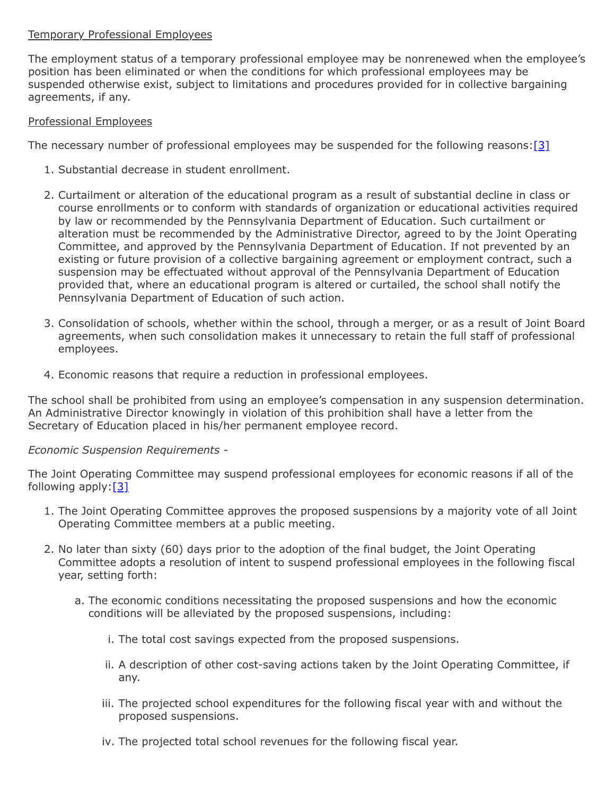#### Temporary Professional Employees

The employment status of a temporary professional employee may be nonrenewed when the employee's position has been eliminated or when the conditions for which professional employees may be suspended otherwise exist, subject to limitations and procedures provided for in collective bargaining agreements, if any.

#### Professional Employees

The necessary number of professional employees may be suspended for the following reasons:[\[3\]](http://www.legis.state.pa.us/cfdocs/legis/LI/uconsCheck.cfm?txtType=HTM&yr=1949&sessInd=0&smthLwInd=0&act=14&chpt=11&sctn=24&subsctn=0)

- 1. Substantial decrease in student enrollment.
- 2. Curtailment or alteration of the educational program as a result of substantial decline in class or course enrollments or to conform with standards of organization or educational activities required by law or recommended by the Pennsylvania Department of Education. Such curtailment or alteration must be recommended by the Administrative Director, agreed to by the Joint Operating Committee, and approved by the Pennsylvania Department of Education. If not prevented by an existing or future provision of a collective bargaining agreement or employment contract, such a suspension may be effectuated without approval of the Pennsylvania Department of Education provided that, where an educational program is altered or curtailed, the school shall notify the Pennsylvania Department of Education of such action.
- 3. Consolidation of schools, whether within the school, through a merger, or as a result of Joint Board agreements, when such consolidation makes it unnecessary to retain the full staff of professional employees.
- 4. Economic reasons that require a reduction in professional employees.

The school shall be prohibited from using an employee's compensation in any suspension determination. An Administrative Director knowingly in violation of this prohibition shall have a letter from the Secretary of Education placed in his/her permanent employee record.

#### *Economic Suspension Requirements -*

The Joint Operating Committee may suspend professional employees for economic reasons if all of the following apply: $[3]$ 

- 1. The Joint Operating Committee approves the proposed suspensions by a majority vote of all Joint Operating Committee members at a public meeting.
- 2. No later than sixty (60) days prior to the adoption of the final budget, the Joint Operating Committee adopts a resolution of intent to suspend professional employees in the following fiscal year, setting forth:
	- a. The economic conditions necessitating the proposed suspensions and how the economic conditions will be alleviated by the proposed suspensions, including:
		- i. The total cost savings expected from the proposed suspensions.
		- ii. A description of other cost-saving actions taken by the Joint Operating Committee, if any.
		- iii. The projected school expenditures for the following fiscal year with and without the proposed suspensions.
		- iv. The projected total school revenues for the following fiscal year.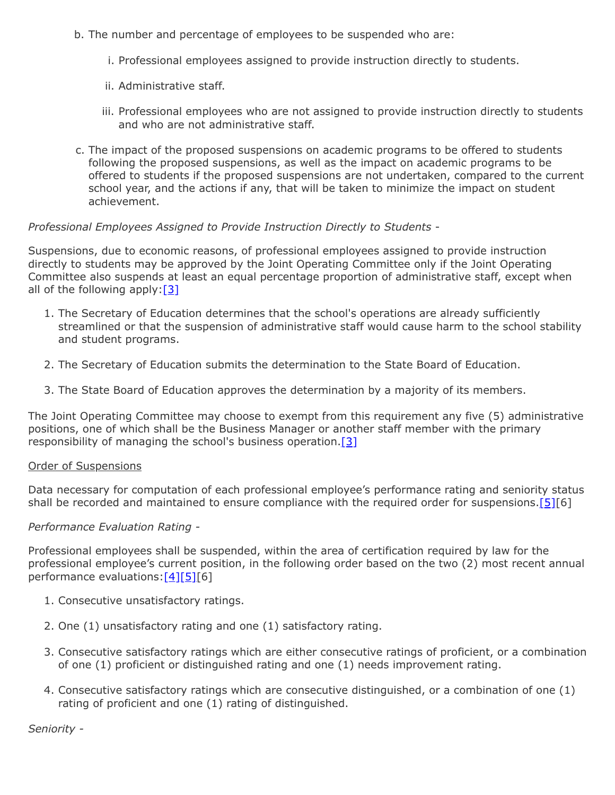- b. The number and percentage of employees to be suspended who are:
	- i. Professional employees assigned to provide instruction directly to students.
	- ii. Administrative staff.
	- iii. Professional employees who are not assigned to provide instruction directly to students and who are not administrative staff.
- c. The impact of the proposed suspensions on academic programs to be offered to students following the proposed suspensions, as well as the impact on academic programs to be offered to students if the proposed suspensions are not undertaken, compared to the current school year, and the actions if any, that will be taken to minimize the impact on student achievement.

## *Professional Employees Assigned to Provide Instruction Directly to Students* -

Suspensions, due to economic reasons, of professional employees assigned to provide instruction directly to students may be approved by the Joint Operating Committee only if the Joint Operating Committee also suspends at least an equal percentage proportion of administrative staff, except when all of the following apply:  $[3]$ 

- 1. The Secretary of Education determines that the school's operations are already sufficiently streamlined or that the suspension of administrative staff would cause harm to the school stability and student programs.
- 2. The Secretary of Education submits the determination to the State Board of Education.
- 3. The State Board of Education approves the determination by a majority of its members.

The Joint Operating Committee may choose to exempt from this requirement any five (5) administrative positions, one of which shall be the Business Manager or another staff member with the primary responsibility of managing the school's business operation.<sup>[\[3\]](http://www.legis.state.pa.us/cfdocs/legis/LI/uconsCheck.cfm?txtType=HTM&yr=1949&sessInd=0&smthLwInd=0&act=14&chpt=11&sctn=24&subsctn=0)</sup>

## Order of Suspensions

Data necessary for computation of each professional employee's performance rating and seniority status shall be recorded and maintained to ensure compliance with the required order for suspensions. [\[5\]](http://www.legis.state.pa.us/cfdocs/legis/LI/uconsCheck.cfm?txtType=HTM&yr=1949&sessInd=0&smthLwInd=0&act=14&chpt=11&sctn=23&subsctn=0)[6]

## *Performance Evaluation Rating -*

Professional employees shall be suspended, within the area of certification required by law for the professional employee's current position, in the following order based on the two (2) most recent annual performance evaluations: [4][\[5\]](http://www.legis.state.pa.us/cfdocs/legis/LI/uconsCheck.cfm?txtType=HTM&yr=1949&sessInd=0&smthLwInd=0&act=14&chpt=11&sctn=23&subsctn=0)[6]

- 1. Consecutive unsatisfactory ratings.
- 2. One (1) unsatisfactory rating and one (1) satisfactory rating.
- 3. Consecutive satisfactory ratings which are either consecutive ratings of proficient, or a combination of one (1) proficient or distinguished rating and one (1) needs improvement rating.
- 4. Consecutive satisfactory ratings which are consecutive distinguished, or a combination of one (1) rating of proficient and one (1) rating of distinguished.

*Seniority -*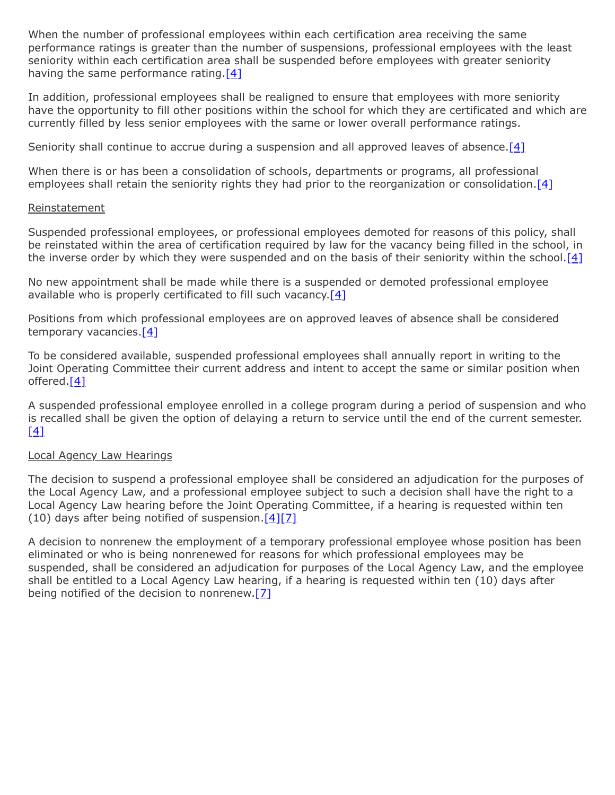When the number of professional employees within each certification area receiving the same performance ratings is greater than the number of suspensions, professional employees with the least seniority within each certification area shall be suspended before employees with greater seniority having the same performance rating.<sup>[\[4\]](http://www.legis.state.pa.us/cfdocs/legis/LI/uconsCheck.cfm?txtType=HTM&yr=1949&sessInd=0&smthLwInd=0&act=14&chpt=11&sctn=25&subsctn=1)</sup>

In addition, professional employees shall be realigned to ensure that employees with more seniority have the opportunity to fill other positions within the school for which they are certificated and which are currently filled by less senior employees with the same or lower overall performance ratings.

Seniority shall continue to accrue during a suspension and all approved leaves of absence.<sup>[\[4\]](http://www.legis.state.pa.us/cfdocs/legis/LI/uconsCheck.cfm?txtType=HTM&yr=1949&sessInd=0&smthLwInd=0&act=14&chpt=11&sctn=25&subsctn=1)</sup>

When there is or has been a consolidation of schools, departments or programs, all professional employees shall retain the seniority rights they had prior to the reorganization or consolidation.  $[4]$ 

#### Reinstatement

Suspended professional employees, or professional employees demoted for reasons of this policy, shall be reinstated within the area of certification required by law for the vacancy being filled in the school, in the inverse order by which they were suspended and on the basis of their seniority within the school. $[4]$ 

No new appointment shall be made while there is a suspended or demoted professional employee available who is properly certificated to fill such vacancy.  $[4]$ 

Positions from which professional employees are on approved leaves of absence shall be considered temporary vacancies.  $[4]$ 

To be considered available, suspended professional employees shall annually report in writing to the Joint Operating Committee their current address and intent to accept the same or similar position when offered. $[4]$ 

A suspended professional employee enrolled in a college program during a period of suspension and who is recalled shall be given the option of delaying a return to service until the end of the current semester.  $[4]$ 

#### Local Agency Law Hearings

The decision to suspend a professional employee shall be considered an adjudication for the purposes of the Local Agency Law, and a professional employee subject to such a decision shall have the right to a Local Agency Law hearing before the Joint Operating Committee, if a hearing is requested within ten (10) days after being notified of suspension. $[4][7]$  $[4][7]$ 

A decision to nonrenew the employment of a temporary professional employee whose position has been eliminated or who is being nonrenewed for reasons for which professional employees may be suspended, shall be considered an adjudication for purposes of the Local Agency Law, and the employee shall be entitled to a Local Agency Law hearing, if a hearing is requested within ten (10) days after being notified of the decision to nonrenew[.\[7\]](http://www.legis.state.pa.us/cfdocs/legis/LI/consCheck.cfm?txtType=HTM&ttl=02)